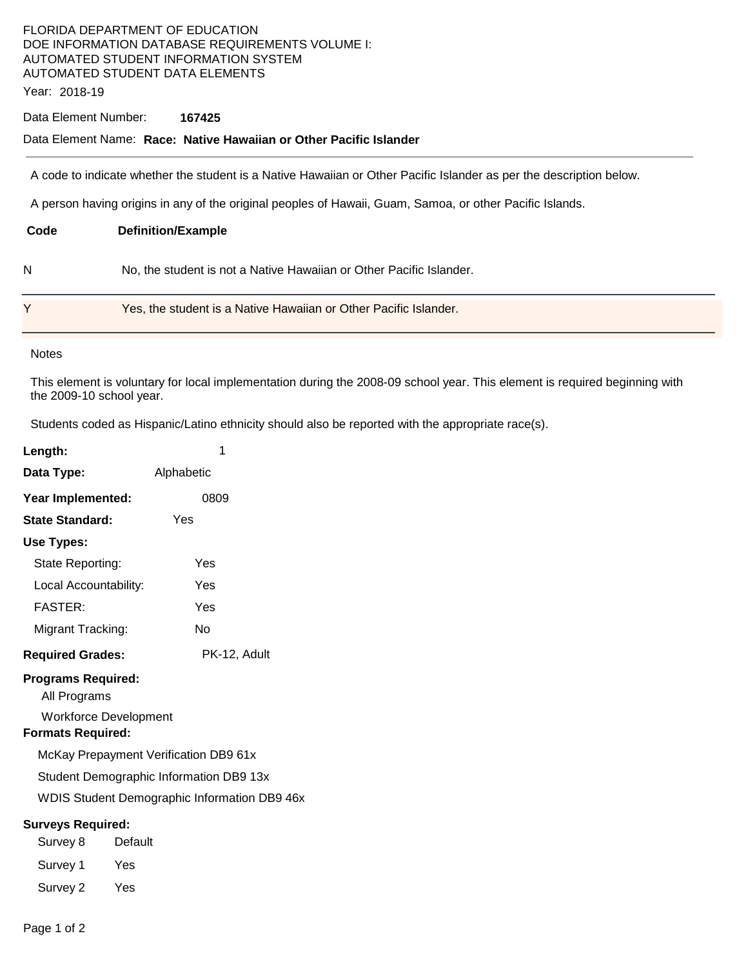# FLORIDA DEPARTMENT OF EDUCATION DOE INFORMATION DATABASE REQUIREMENTS VOLUME I: AUTOMATED STUDENT INFORMATION SYSTEM AUTOMATED STUDENT DATA ELEMENTS

Year: 2018-19

#### Data Element Number: **167425**

## Data Element Name: **Race: Native Hawaiian or Other Pacific Islander**

A code to indicate whether the student is a Native Hawaiian or Other Pacific Islander as per the description below.

A person having origins in any of the original peoples of Hawaii, Guam, Samoa, or other Pacific Islands.

| Code | <b>Definition/Example</b>                                           |
|------|---------------------------------------------------------------------|
| N    | No, the student is not a Native Hawaiian or Other Pacific Islander. |
|      | Yes, the student is a Native Hawaiian or Other Pacific Islander.    |

#### **Notes**

This element is voluntary for local implementation during the 2008-09 school year. This element is required beginning with the 2009-10 school year.

Students coded as Hispanic/Latino ethnicity should also be reported with the appropriate race(s).

| Length:                                                                                               | 1            |  |  |  |
|-------------------------------------------------------------------------------------------------------|--------------|--|--|--|
| Data Type:                                                                                            | Alphabetic   |  |  |  |
| Year Implemented:                                                                                     | 0809         |  |  |  |
| <b>State Standard:</b>                                                                                | Yes          |  |  |  |
| Use Types:                                                                                            |              |  |  |  |
| State Reporting:                                                                                      | Yes          |  |  |  |
| Local Accountability:                                                                                 | Yes          |  |  |  |
| <b>FASTER:</b>                                                                                        | Yes          |  |  |  |
| Migrant Tracking:                                                                                     | No           |  |  |  |
| <b>Required Grades:</b>                                                                               | PK-12, Adult |  |  |  |
| <b>Programs Required:</b><br>All Programs<br><b>Workforce Development</b><br><b>Formats Required:</b> |              |  |  |  |
| McKay Prepayment Verification DB9 61x                                                                 |              |  |  |  |
| Student Demographic Information DB9 13x                                                               |              |  |  |  |
| WDIS Student Demographic Information DB9 46x                                                          |              |  |  |  |
| <b>Surveys Required:</b><br>Survey 8                                                                  | Default      |  |  |  |
| Survey 1                                                                                              | Yes          |  |  |  |
| Survey 2                                                                                              | Yes          |  |  |  |